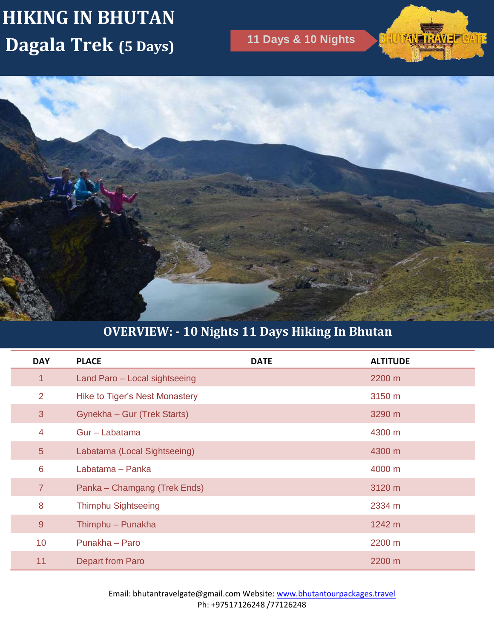# **HIKING IN BHUTAN Dagala Trek (5 Days) 11 Days & 10 Nights**

**BHUTAN TRAVE CATE** 



# **OVERVIEW: - 10 Nights 11 Days Hiking In Bhutan**

| <b>DAY</b>      | <b>PLACE</b>                          | <b>DATE</b> | <b>ALTITUDE</b> |
|-----------------|---------------------------------------|-------------|-----------------|
| 1               | Land Paro - Local sightseeing         |             | 2200 m          |
| 2               | <b>Hike to Tiger's Nest Monastery</b> |             | 3150 m          |
| $\mathbf{3}$    | Gynekha - Gur (Trek Starts)           |             | 3290 m          |
| $\overline{4}$  | Gur - Labatama                        |             | 4300 m          |
| 5               | Labatama (Local Sightseeing)          |             | 4300 m          |
| $6\phantom{1}6$ | Labatama - Panka                      |             | 4000 m          |
| $\overline{7}$  | Panka – Chamgang (Trek Ends)          |             | 3120 m          |
| 8               | <b>Thimphu Sightseeing</b>            |             | 2334 m          |
| 9               | Thimphu - Punakha                     |             | 1242 m          |
| 10 <sup>°</sup> | Punakha - Paro                        |             | 2200 m          |
| 11              | <b>Depart from Paro</b>               |             | 2200 m          |

Email: bhutantravelgate@gmail.com Website: www.bhutantourpackages.travel Ph: +97517126248 /77126248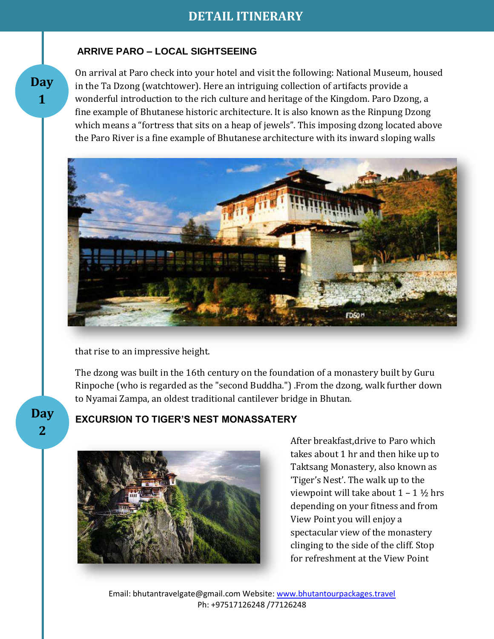#### **ARRIVE PARO – LOCAL SIGHTSEEING**

On arrival at Paro check into your hotel and visit the following: National Museum, housed in the Ta Dzong (watchtower). Here an intriguing collection of artifacts provide a wonderful introduction to the rich culture and heritage of the Kingdom. Paro Dzong, a fine example of Bhutanese historic architecture. It is also known as the Rinpung Dzong which means a "fortress that sits on a heap of jewels". This imposing dzong located above the Paro River is a fine example of Bhutanese architecture with its inward sloping walls



that rise to an impressive height.

The dzong was built in the 16th century on the foundation of a monastery built by Guru Rinpoche (who is regarded as the "second Buddha.") .From the dzong, walk further down to Nyamai Zampa, an oldest traditional cantilever bridge in Bhutan.

**Day 2**

**Day 1**

#### **EXCURSION TO TIGER'S NEST MONASSATERY**



After breakfast,drive to Paro which takes about 1 hr and then hike up to Taktsang Monastery, also known as 'Tiger's Nest'. The walk up to the viewpoint will take about  $1 - 1 \frac{1}{2}$  hrs depending on your fitness and from View Point you will enjoy a spectacular view of the monastery clinging to the side of the cliff. Stop for refreshment at the View Point

Email: bhutantravelgate@gmail.com Website: www.bhutantourpackages.travel Ph: +97517126248 /77126248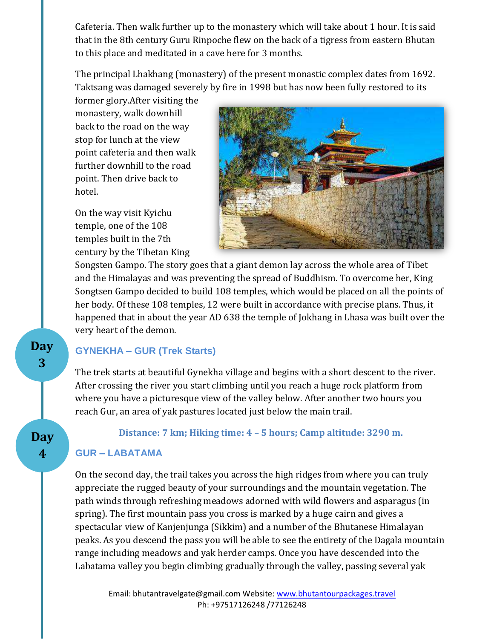Cafeteria. Then walk further up to the monastery which will take about 1 hour. It is said that in the 8th century Guru Rinpoche flew on the back of a tigress from eastern Bhutan to this place and meditated in a cave here for 3 months.

The principal Lhakhang (monastery) of the present monastic complex dates from 1692. Taktsang was damaged severely by fire in 1998 but has now been fully restored to its

former glory.After visiting the monastery, walk downhill back to the road on the way stop for lunch at the view point cafeteria and then walk further downhill to the road point. Then drive back to hotel.

On the way visit Kyichu temple, one of the 108 temples built in the 7th century by the Tibetan King



Songsten Gampo. The story goes that a giant demon lay across the whole area of Tibet and the Himalayas and was preventing the spread of Buddhism. To overcome her, King Songtsen Gampo decided to build 108 temples, which would be placed on all the points of her body. Of these 108 temples, 12 were built in accordance with precise plans. Thus, it happened that in about the year AD 638 the temple of Jokhang in Lhasa was built over the very heart of the demon.

#### **GYNEKHA – GUR (Trek Starts)**

The trek starts at beautiful Gynekha village and begins with a short descent to the river. After crossing the river you start climbing until you reach a huge rock platform from where you have a picturesque view of the valley below. After another two hours you reach Gur, an area of yak pastures located just below the main trail.

**Distance: 7 km; Hiking time: 4 – 5 hours; Camp altitude: 3290 m.**

#### **GUR – LABATAMA**

**Day 3**

**Day 4**

> On the second day, the trail takes you across the high ridges from where you can truly appreciate the rugged beauty of your surroundings and the mountain vegetation. The path winds through refreshing meadows adorned with wild flowers and asparagus (in spring). The first mountain pass you cross is marked by a huge cairn and gives a spectacular view of Kanjenjunga (Sikkim) and a number of the Bhutanese Himalayan peaks. As you descend the pass you will be able to see the entirety of the Dagala mountain range including meadows and yak herder camps. Once you have descended into the Labatama valley you begin climbing gradually through the valley, passing several yak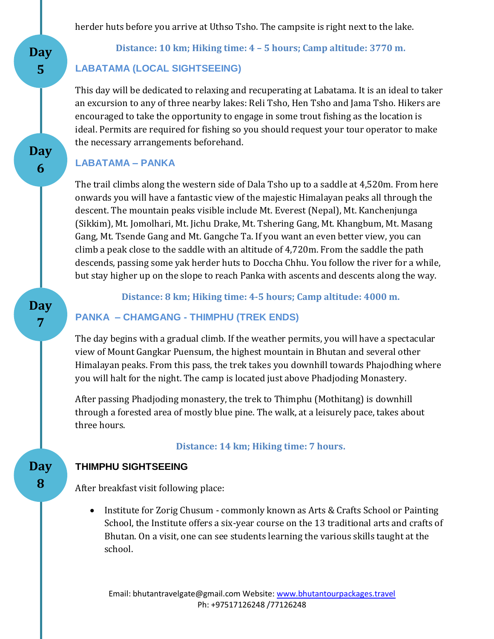herder huts before you arrive at Uthso Tsho. The campsite is right next to the lake.

**Distance: 10 km; Hiking time: 4 – 5 hours; Camp altitude: 3770 m.**

#### **LABATAMA (LOCAL SIGHTSEEING)**

This day will be dedicated to relaxing and recuperating at Labatama. It is an ideal to taker an excursion to any of three nearby lakes: Reli Tsho, Hen Tsho and Jama Tsho. Hikers are encouraged to take the opportunity to engage in some trout fishing as the location is ideal. Permits are required for fishing so you should request your tour operator to make the necessary arrangements beforehand.

#### **LABATAMA – PANKA**

**Day** 

**5**

**Day** 

**6**

**Day 8**

**Day 7**

**7**

The trail climbs along the western side of Dala Tsho up to a saddle at 4,520m. From here onwards you will have a fantastic view of the majestic Himalayan peaks all through the descent. The mountain peaks visible include Mt. Everest (Nepal), Mt. Kanchenjunga (Sikkim), Mt. Jomolhari, Mt. Jichu Drake, Mt. Tshering Gang, Mt. Khangbum, Mt. Masang Gang, Mt. Tsende Gang and Mt. Gangche Ta. If you want an even better view, you can climb a peak close to the saddle with an altitude of 4,720m. From the saddle the path descends, passing some yak herder huts to Doccha Chhu. You follow the river for a while, but stay higher up on the slope to reach Panka with ascents and descents along the way.

**Distance: 8 km; Hiking time: 4-5 hours; Camp altitude: 4000 m.**

### **PANKA – CHAMGANG - THIMPHU (TREK ENDS)**

The day begins with a gradual climb. If the weather permits, you will have a spectacular view of Mount Gangkar Puensum, the highest mountain in Bhutan and several other Himalayan peaks. From this pass, the trek takes you downhill towards Phajodhing where you will halt for the night. The camp is located just above Phadjoding Monastery.

After passing Phadjoding monastery, the trek to Thimphu (Mothitang) is downhill through a forested area of mostly blue pine. The walk, at a leisurely pace, takes about three hours.

**Distance: 14 km; Hiking time: 7 hours.**

#### **THIMPHU SIGHTSEEING**

After breakfast visit following place:

 Institute for Zorig Chusum - commonly known as Arts & Crafts School or Painting School, the Institute offers a six-year course on the 13 traditional arts and crafts of Bhutan. On a visit, one can see students learning the various skills taught at the school.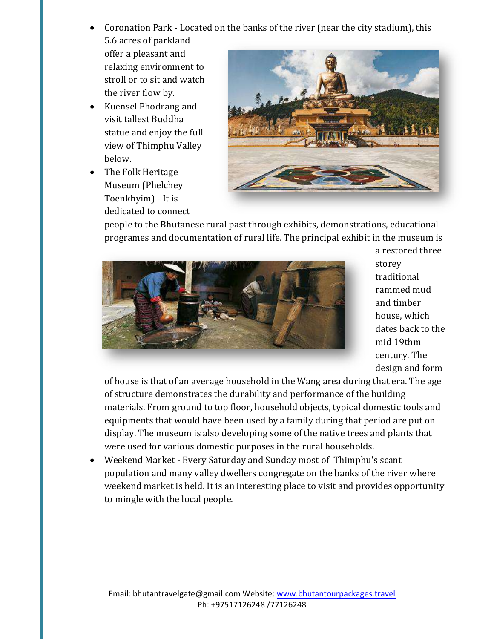- Coronation Park Located on the banks of the river (near the city stadium), this 5.6 acres of parkland offer a pleasant and relaxing environment to stroll or to sit and watch
- the river flow by. Kuensel Phodrang and visit tallest Buddha statue and enjoy the full view of Thimphu Valley below.
- The Folk Heritage Museum (Phelchey Toenkhyim) - It is dedicated to connect



people to the Bhutanese rural past through exhibits, demonstrations, educational programes and documentation of rural life. The principal exhibit in the museum is



a restored three storey traditional rammed mud and timber house, which dates back to the mid 19thm century. The design and form

of house is that of an average household in the Wang area during that era. The age of structure demonstrates the durability and performance of the building materials. From ground to top floor, household objects, typical domestic tools and equipments that would have been used by a family during that period are put on display. The museum is also developing some of the native trees and plants that were used for various domestic purposes in the rural households.

 Weekend Market - Every Saturday and Sunday most of Thimphu's scant population and many valley dwellers congregate on the banks of the river where weekend market is held. It is an interesting place to visit and provides opportunity to mingle with the local people.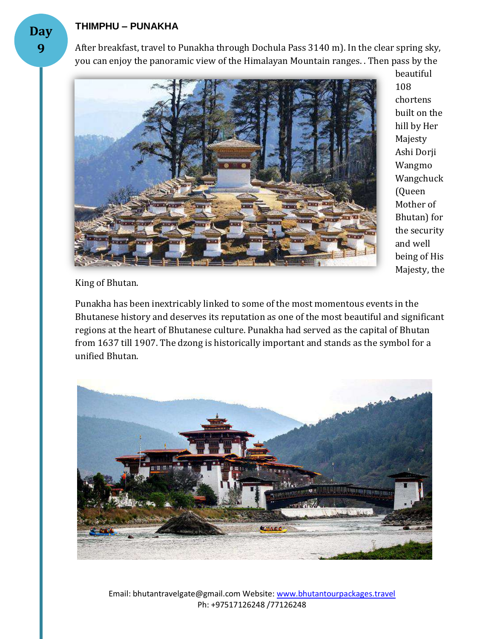#### **THIMPHU – PUNAKHA**

After breakfast, travel to Punakha through Dochula Pass 3140 m). In the clear spring sky, you can enjoy the panoramic view of the Himalayan Mountain ranges. . Then pass by the



beautiful 108 chortens built on the hill by Her Majesty Ashi Dorji Wangmo Wangchuck (Queen Mother of Bhutan) for the security and well being of His Majesty, the

King of Bhutan.

Punakha has been inextricably linked to some of the most momentous events in the Bhutanese history and deserves its reputation as one of the most beautiful and significant regions at the heart of Bhutanese culture. Punakha had served as the capital of Bhutan from 1637 till 1907. The dzong is historically important and stands as the symbol for a unified Bhutan.



Email: bhutantravelgate@gmail.com Website: www.bhutantourpackages.travel Ph: +97517126248 /77126248